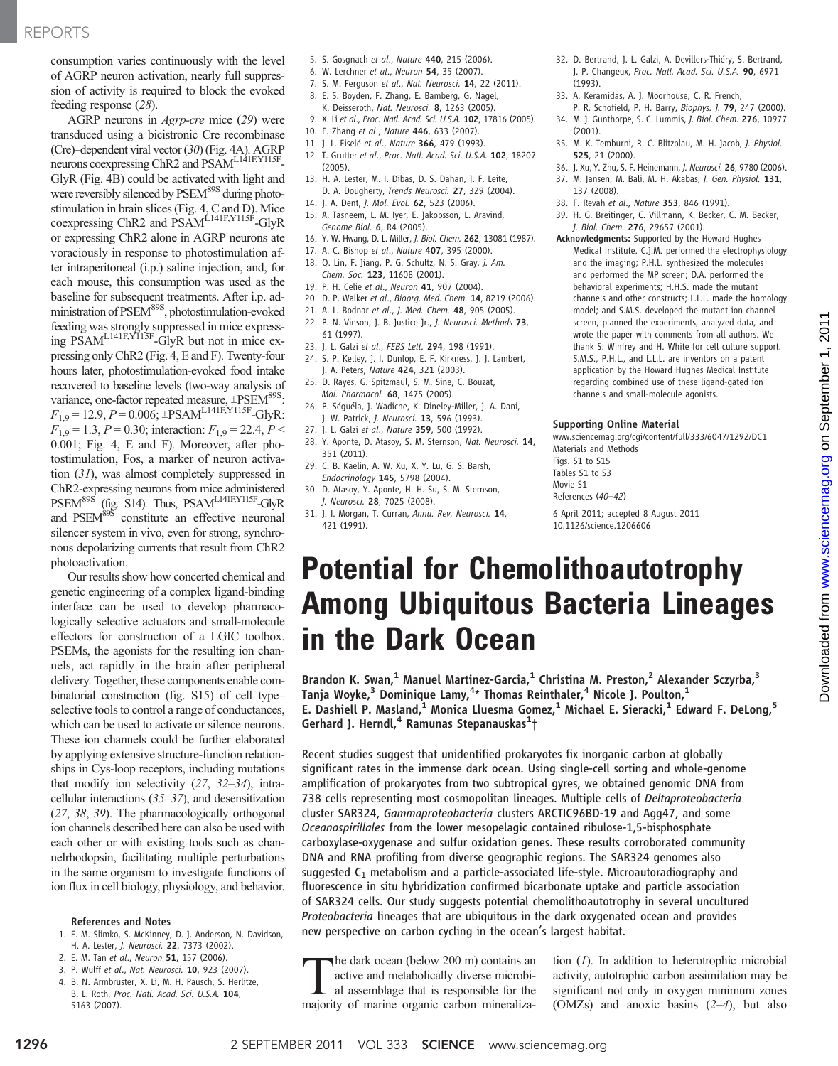consumption varies continuously with the level of AGRP neuron activation, nearly full suppression of activity is required to block the evoked feeding response (28).

AGRP neurons in Agrp-cre mice (29) were transduced using a bicistronic Cre recombinase (Cre)–dependent viral vector (30) (Fig. 4A). AGRP neurons coexpressing ChR2 and PSAML141F,Y115F-GlyR (Fig. 4B) could be activated with light and were reversibly silenced by PSEM<sup>89S</sup> during photostimulation in brain slices (Fig. 4, C and D). Mice coexpressing ChR2 and PSAML<sub>141F,Y115F</sub>-GlyR or expressing ChR2 alone in AGRP neurons ate voraciously in response to photostimulation after intraperitoneal (i.p.) saline injection, and, for each mouse, this consumption was used as the baseline for subsequent treatments. After i.p. administration of PSEM<sup>89S</sup>, photostimulation-evoked feeding was strongly suppressed in mice expressing PSAM<sup>L141F,Y115F</sup>-GlyR but not in mice expressing only ChR2 (Fig. 4, E and F). Twenty-four hours later, photostimulation-evoked food intake recovered to baseline levels (two-way analysis of variance, one-factor repeated measure,  $\pm$ PSEM<sup>89S</sup>:  $F_{1,9} = 12.9, P = 0.006$ ;  $\pm$ PSAM<sup>L141F,Y115F</sup>-GlyR:  $F_{1,9} = 1.3$ ,  $P = 0.30$ ; interaction:  $F_{1,9} = 22.4$ ,  $P <$ 0.001; Fig. 4, E and F). Moreover, after photostimulation, Fos, a marker of neuron activation (31), was almost completely suppressed in ChR2-expressing neurons from mice administered PSEM<sup>89S</sup> (fig. S14). Thus, PSAM<sup>L141F,Y115F</sup>-GlyR and PSEM<sup>89S</sup> constitute an effective neuronal silencer system in vivo, even for strong, synchronous depolarizing currents that result from ChR2 photoactivation.

Our results show how concerted chemical and genetic engineering of a complex ligand-binding interface can be used to develop pharmacologically selective actuators and small-molecule effectors for construction of a LGIC toolbox. PSEMs, the agonists for the resulting ion channels, act rapidly in the brain after peripheral delivery. Together, these components enable combinatorial construction (fig. S15) of cell type– selective tools to control a range of conductances, which can be used to activate or silence neurons. These ion channels could be further elaborated by applying extensive structure-function relationships in Cys-loop receptors, including mutations that modify ion selectivity (27, 32–34), intracellular interactions (35–37), and desensitization (27, 38, 39). The pharmacologically orthogonal ion channels described here can also be used with each other or with existing tools such as channelrhodopsin, facilitating multiple perturbations in the same organism to investigate functions of ion flux in cell biology, physiology, and behavior.

#### References and Notes

- 1. E. M. Slimko, S. McKinney, D. J. Anderson, N. Davidson, H. A. Lester, J. Neurosci. 22, 7373 (2002).
- 2. E. M. Tan et al., Neuron 51, 157 (2006).
- 3. P. Wulff et al., Nat. Neurosci. 10, 923 (2007).
- 4. B. N. Armbruster, X. Li, M. H. Pausch, S. Herlitze, B. L. Roth, Proc. Natl. Acad. Sci. U.S.A. 104, 5163 (2007).
- 5. S. Gosgnach et al., Nature 440, 215 (2006).
- 6. W. Lerchner et al., Neuron 54, 35 (2007).
- 7. S. M. Ferguson et al., Nat. Neurosci. 14, 22 (2011).
- 8. E. S. Boyden, F. Zhang, E. Bamberg, G. Nagel, K. Deisseroth, Nat. Neurosci. 8, 1263 (2005).
- 
- 9. X. Li et al., Proc. Natl. Acad. Sci. U.S.A. 102, 17816 (2005). 10. F. Zhang et al., Nature 446, 633 (2007).
- 
- 11. J. L. Eiselé et al., Nature 366, 479 (1993).
- 12. T. Grutter et al., Proc. Natl. Acad. Sci. U.S.A. 102, 18207 (2005).
- 13. H. A. Lester, M. I. Dibas, D. S. Dahan, J. F. Leite, D. A. Dougherty, Trends Neurosci. 27, 329 (2004).
- 14. J. A. Dent, J. Mol. Evol. 62, 523 (2006).
- 15. A. Tasneem, L. M. Iyer, E. Jakobsson, L. Aravind, Genome Biol. 6, R4 (2005).
- 16. Y. W. Hwang, D. L. Miller, J. Biol. Chem. 262, 13081 (1987).
- 17. A. C. Bishop et al., Nature 407, 395 (2000).
- 18. Q. Lin, F. Jiang, P. G. Schultz, N. S. Gray, J. Am.
- Chem. Soc. 123, 11608 (2001).
- 19. P. H. Celie et al., Neuron 41, 907 (2004).
- 20. D. P. Walker et al., Bioorg. Med. Chem. 14, 8219 (2006).
- 21. A. L. Bodnar et al., J. Med. Chem. 48, 905 (2005). 22. P. N. Vinson, J. B. Justice Jr., J. Neurosci. Methods 73,
- 61 (1997).
- 23. J. L. Galzi et al., FEBS Lett. 294, 198 (1991).
- 24. S. P. Kelley, J. I. Dunlop, E. F. Kirkness, J. J. Lambert, J. A. Peters, Nature 424, 321 (2003).
- 25. D. Rayes, G. Spitzmaul, S. M. Sine, C. Bouzat, Mol. Pharmacol. 68, 1475 (2005).
- 26. P. Séguéla, J. Wadiche, K. Dineley-Miller, J. A. Dani, J. W. Patrick, J. Neurosci. 13, 596 (1993).
- 27. J. L. Galzi et al., Nature 359, 500 (1992).
- 28. Y. Aponte, D. Atasoy, S. M. Sternson, Nat. Neurosci. 14, 351 (2011).
- 29. C. B. Kaelin, A. W. Xu, X. Y. Lu, G. S. Barsh, Endocrinology 145, 5798 (2004).
- 30. D. Atasoy, Y. Aponte, H. H. Su, S. M. Sternson, J. Neurosci. 28, 7025 (2008).
- 31. J. I. Morgan, T. Curran, Annu. Rev. Neurosci. 14, 421 (1991).
- 32. D. Bertrand, J. L. Galzi, A. Devillers-Thiéry, S. Bertrand, J. P. Changeux, Proc. Natl. Acad. Sci. U.S.A. 90, 6971 (1993).
- 33. A. Keramidas, A. J. Moorhouse, C. R. French,
- P. R. Schofield, P. H. Barry, Biophys. J. 79, 247 (2000). 34. M. J. Gunthorpe, S. C. Lummis, J. Biol. Chem. 276, 10977 (2001).
- 35. M. K. Temburni, R. C. Blitzblau, M. H. Jacob, J. Physiol. 525, 21 (2000).
- 36. J. Xu, Y. Zhu, S. F. Heinemann, J. Neurosci. 26, 9780 (2006).
- 37. M. Jansen, M. Bali, M. H. Akabas, J. Gen. Physiol. 131, 137 (2008).
- 38. F. Revah et al., Nature 353, 846 (1991).
- 39. H. G. Breitinger, C. Villmann, K. Becker, C. M. Becker, J. Biol. Chem. 276, 29657 (2001).
- Acknowledgments: Supported by the Howard Hughes Medical Institute. C.J.M. performed the electrophysiology and the imaging; P.H.L. synthesized the molecules and performed the MP screen; D.A. performed the behavioral experiments; H.H.S. made the mutant channels and other constructs; L.L.L. made the homology model; and S.M.S. developed the mutant ion channel screen, planned the experiments, analyzed data, and wrote the paper with comments from all authors. We thank S. Winfrey and H. White for cell culture support. S.M.S., P.H.L., and L.L.L. are inventors on a patent application by the Howard Hughes Medical Institute regarding combined use of these ligand-gated ion channels and small-molecule agonists.

#### Supporting Online Material

www.sciencemag.org/cgi/content/full/333/6047/1292/DC1 Materials and Methods Figs. S1 to S15 Tables S1 to S3 Movie S1 References (40*–*42)

6 April 2011; accepted 8 August 2011 10.1126/science.1206606

## Potential for Chemolithoautotrophy Among Ubiquitous Bacteria Lineages in the Dark Ocean

Brandon K. Swan,<sup>1</sup> Manuel Martinez-Garcia,<sup>1</sup> Christina M. Preston,<sup>2</sup> Alexander Sczyrba,<sup>3</sup> Tanja Woyke, $^3$  Dominique Lamy, $^{4\ast}$  Thomas Reinthaler, $^4$  Nicole J. Poulton, $^1$ E. Dashiell P. Masland,<sup>1</sup> Monica Lluesma Gomez,<sup>1</sup> Michael E. Sieracki,<sup>1</sup> Edward F. DeLong,<sup>5</sup> Gerhard J. Herndl,<sup>4</sup> Ramunas Stepanauskas<sup>1</sup>†

Recent studies suggest that unidentified prokaryotes fix inorganic carbon at globally significant rates in the immense dark ocean. Using single-cell sorting and whole-genome amplification of prokaryotes from two subtropical gyres, we obtained genomic DNA from 738 cells representing most cosmopolitan lineages. Multiple cells of Deltaproteobacteria cluster SAR324, Gammaproteobacteria clusters ARCTIC96BD-19 and Agg47, and some Oceanospirillales from the lower mesopelagic contained ribulose-1,5-bisphosphate carboxylase-oxygenase and sulfur oxidation genes. These results corroborated community DNA and RNA profiling from diverse geographic regions. The SAR324 genomes also suggested  $C_1$  metabolism and a particle-associated life-style. Microautoradiography and fluorescence in situ hybridization confirmed bicarbonate uptake and particle association of SAR324 cells. Our study suggests potential chemolithoautotrophy in several uncultured Proteobacteria lineages that are ubiquitous in the dark oxygenated ocean and provides new perspective on carbon cycling in the ocean's largest habitat.

The dark ocean (below 200 m) contains an active and metabolically diverse microbi-<br>al assemblage that is responsible for the majority of marine organic carbon mineralizaactive and metabolically diverse microbimajority of marine organic carbon mineralization (1). In addition to heterotrophic microbial activity, autotrophic carbon assimilation may be significant not only in oxygen minimum zones (OMZs) and anoxic basins  $(2-4)$ , but also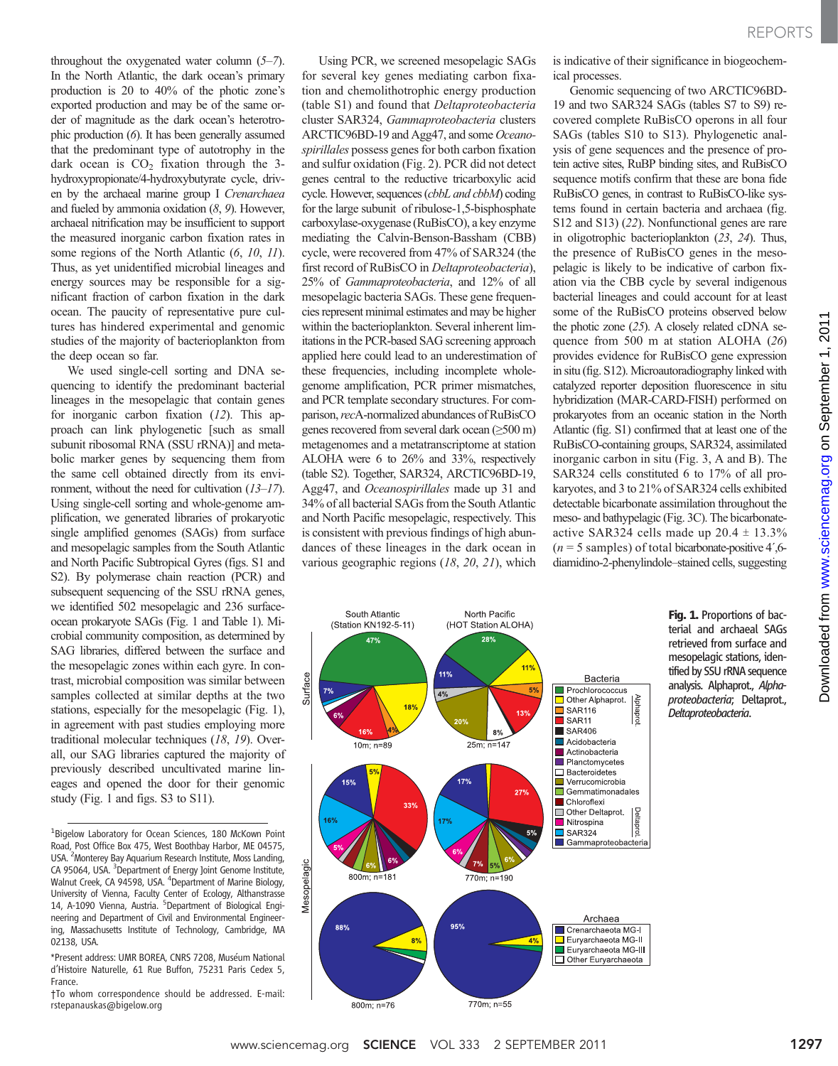is indicative of their significance in biogeochem-REPORTS

throughout the oxygenated water column (5–7). In the North Atlantic, the dark ocean's primary production is 20 to 40% of the photic zone's exported production and may be of the same order of magnitude as the dark ocean's heterotrophic production (6). It has been generally assumed that the predominant type of autotrophy in the dark ocean is  $CO<sub>2</sub>$  fixation through the 3hydroxypropionate/4-hydroxybutyrate cycle, driven by the archaeal marine group I Crenarchaea and fueled by ammonia oxidation (8, 9). However, archaeal nitrification may be insufficient to support the measured inorganic carbon fixation rates in some regions of the North Atlantic  $(6, 10, 11)$ . Thus, as yet unidentified microbial lineages and energy sources may be responsible for a significant fraction of carbon fixation in the dark ocean. The paucity of representative pure cultures has hindered experimental and genomic studies of the majority of bacterioplankton from the deep ocean so far.

We used single-cell sorting and DNA sequencing to identify the predominant bacterial lineages in the mesopelagic that contain genes for inorganic carbon fixation (12). This approach can link phylogenetic [such as small subunit ribosomal RNA (SSU rRNA)] and metabolic marker genes by sequencing them from the same cell obtained directly from its environment, without the need for cultivation (13–17). Using single-cell sorting and whole-genome amplification, we generated libraries of prokaryotic single amplified genomes (SAGs) from surface and mesopelagic samples from the South Atlantic and North Pacific Subtropical Gyres (figs. S1 and S2). By polymerase chain reaction (PCR) and subsequent sequencing of the SSU rRNA genes, we identified 502 mesopelagic and 236 surfaceocean prokaryote SAGs (Fig. 1 and Table 1). Microbial community composition, as determined by SAG libraries, differed between the surface and the mesopelagic zones within each gyre. In contrast, microbial composition was similar between samples collected at similar depths at the two stations, especially for the mesopelagic (Fig. 1), in agreement with past studies employing more traditional molecular techniques (18, 19). Overall, our SAG libraries captured the majority of previously described uncultivated marine lineages and opened the door for their genomic study (Fig. 1 and figs. S3 to S11).

Using PCR, we screened mesopelagic SAGs for several key genes mediating carbon fixation and chemolithotrophic energy production (table S1) and found that Deltaproteobacteria cluster SAR324, Gammaproteobacteria clusters ARCTIC96BD-19 and Agg47, and some Oceanospirillales possess genes for both carbon fixation and sulfur oxidation (Fig. 2). PCR did not detect genes central to the reductive tricarboxylic acid cycle. However, sequences (cbbL and cbbM) coding for the large subunit of ribulose-1,5-bisphosphate carboxylase-oxygenase (RuBisCO), a key enzyme mediating the Calvin-Benson-Bassham (CBB) cycle, were recovered from 47% of SAR324 (the first record of RuBisCO in Deltaproteobacteria), 25% of Gammaproteobacteria, and 12% of all mesopelagic bacteria SAGs. These gene frequencies represent minimal estimates and may be higher within the bacterioplankton. Several inherent limitations in the PCR-based SAG screening approach applied here could lead to an underestimation of these frequencies, including incomplete wholegenome amplification, PCR primer mismatches, and PCR template secondary structures. For comparison, recA-normalized abundances of RuBisCO genes recovered from several dark ocean (≥500 m) metagenomes and a metatranscriptome at station ALOHA were 6 to 26% and 33%, respectively (table S2). Together, SAR324, ARCTIC96BD-19, Agg47, and Oceanospirillales made up 31 and 34% of all bacterial SAGs from the South Atlantic and North Pacific mesopelagic, respectively. This is consistent with previous findings of high abundances of these lineages in the dark ocean in various geographic regions (18, 20, 21), which

Genomic sequencing of two ARCTIC96BD-19 and two SAR324 SAGs (tables S7 to S9) recovered complete RuBisCO operons in all four SAGs (tables S10 to S13). Phylogenetic analysis of gene sequences and the presence of protein active sites, RuBP binding sites, and RuBisCO sequence motifs confirm that these are bona fide RuBisCO genes, in contrast to RuBisCO-like systems found in certain bacteria and archaea (fig. S12 and S13) (22). Nonfunctional genes are rare in oligotrophic bacterioplankton (23, 24). Thus, the presence of RuBisCO genes in the mesopelagic is likely to be indicative of carbon fixation via the CBB cycle by several indigenous bacterial lineages and could account for at least some of the RuBisCO proteins observed below the photic zone (25). A closely related cDNA sequence from 500 m at station ALOHA (26) provides evidence for RuBisCO gene expression in situ (fig. S12). Microautoradiography linked with catalyzed reporter deposition fluorescence in situ hybridization (MAR-CARD-FISH) performed on prokaryotes from an oceanic station in the North Atlantic (fig. S1) confirmed that at least one of the RuBisCO-containing groups, SAR324, assimilated inorganic carbon in situ (Fig. 3, A and B). The SAR324 cells constituted 6 to 17% of all prokaryotes, and 3 to 21% of SAR324 cells exhibited detectable bicarbonate assimilation throughout the meso- and bathypelagic (Fig. 3C). The bicarbonateactive SAR324 cells made up  $20.4 \pm 13.3\%$  $(n = 5$  samples) of total bicarbonate-positive 4',6diamidino-2-phenylindole–stained cells, suggesting

ical processes.



Fig. 1. Proportions of bacterial and archaeal SAGs retrieved from surface and mesopelagic stations, identified by SSU rRNA sequence analysis. Alphaprot., Alphaproteobacteria; Deltaprot., Deltaproteobacteria.

on September 1, 2011

[www.sciencemag.org](http://www.sciencemag.org/)

Downloaded from www.sciencemag.org on September 1, 2011

Downloaded from

<sup>&</sup>lt;sup>1</sup>Bigelow Laboratory for Ocean Sciences, 180 McKown Point Road, Post Office Box 475, West Boothbay Harbor, ME 04575, USA. <sup>2</sup> Monterey Bay Aquarium Research Institute, Moss Landing, CA 95064, USA. <sup>3</sup> Department of Energy Joint Genome Institute, Walnut Creek, CA 94598, USA. <sup>4</sup>Department of Marine Biology, University of Vienna, Faculty Center of Ecology, Althanstrasse 14, A-1090 Vienna, Austria. <sup>5</sup>Department of Biological Engineering and Department of Civil and Environmental Engineering, Massachusetts Institute of Technology, Cambridge, MA 02138, USA.

<sup>\*</sup>Present address: UMR BOREA, CNRS 7208, Muséum National d'Histoire Naturelle, 61 Rue Buffon, 75231 Paris Cedex 5, France.

<sup>†</sup>To whom correspondence should be addressed. E-mail: rstepanauskas@bigelow.org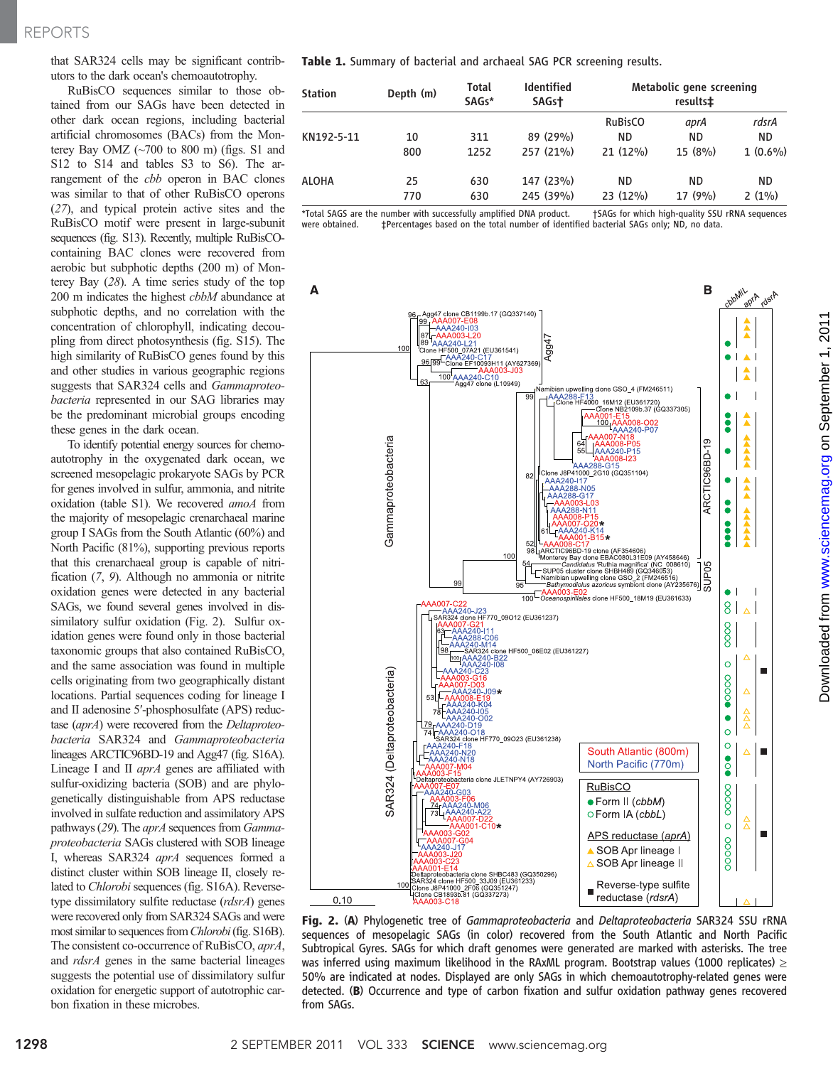### REPORTS

that SAR324 cells may be significant contributors to the dark ocean's chemoautotrophy.

RuBisCO sequences similar to those obtained from our SAGs have been detected in other dark ocean regions, including bacterial artificial chromosomes (BACs) from the Monterey Bay OMZ  $(\sim 700$  to 800 m) (figs. S1 and S12 to S14 and tables S3 to S6). The arrangement of the *cbb* operon in BAC clones was similar to that of other RuBisCO operons (27), and typical protein active sites and the RuBisCO motif were present in large-subunit sequences (fig. S13). Recently, multiple RuBisCOcontaining BAC clones were recovered from aerobic but subphotic depths (200 m) of Monterey Bay (28). A time series study of the top 200 m indicates the highest *cbbM* abundance at subphotic depths, and no correlation with the concentration of chlorophyll, indicating decoupling from direct photosynthesis (fig. S15). The high similarity of RuBisCO genes found by this and other studies in various geographic regions suggests that SAR324 cells and Gammaproteobacteria represented in our SAG libraries may be the predominant microbial groups encoding these genes in the dark ocean.

To identify potential energy sources for chemoautotrophy in the oxygenated dark ocean, we screened mesopelagic prokaryote SAGs by PCR for genes involved in sulfur, ammonia, and nitrite oxidation (table S1). We recovered amoA from the majority of mesopelagic crenarchaeal marine group I SAGs from the South Atlantic (60%) and North Pacific (81%), supporting previous reports that this crenarchaeal group is capable of nitrification (7, 9). Although no ammonia or nitrite oxidation genes were detected in any bacterial SAGs, we found several genes involved in dissimilatory sulfur oxidation (Fig. 2). Sulfur oxidation genes were found only in those bacterial taxonomic groups that also contained RuBisCO, and the same association was found in multiple cells originating from two geographically distant locations. Partial sequences coding for lineage I and II adenosine 5′-phosphosulfate (APS) reductase (aprA) were recovered from the Deltaproteobacteria SAR324 and Gammaproteobacteria lineages ARCTIC96BD-19 and Agg47 (fig. S16A). Lineage I and II *aprA* genes are affiliated with sulfur-oxidizing bacteria (SOB) and are phylogenetically distinguishable from APS reductase involved in sulfate reduction and assimilatory APS pathways (29). The *aprA* sequences from *Gamma*proteobacteria SAGs clustered with SOB lineage I, whereas SAR324 aprA sequences formed a distinct cluster within SOB lineage II, closely related to Chlorobi sequences (fig. S16A). Reversetype dissimilatory sulfite reductase (rdsrA) genes were recovered only from SAR324 SAGs and were most similar to sequences fromChlorobi(fig. S16B). The consistent co-occurrence of RuBisCO, aprA, and rdsrA genes in the same bacterial lineages suggests the potential use of dissimilatory sulfur oxidation for energetic support of autotrophic carbon fixation in these microbes.

Table 1. Summary of bacterial and archaeal SAG PCR screening results.

| <b>Station</b><br>KN192-5-11 | Depth (m)<br>10<br>800 | Total<br>SAGs*<br>311<br>1252 | <b>Identified</b><br>SAGst<br>89 (29%)<br>257 (21%) | Metabolic gene screening<br>results‡ |                       |                            |
|------------------------------|------------------------|-------------------------------|-----------------------------------------------------|--------------------------------------|-----------------------|----------------------------|
|                              |                        |                               |                                                     | <b>RuBisCO</b><br>ΝD<br>21 (12%)     | aprA<br>ND.<br>15(8%) | rdsrA<br>ND.<br>$1(0.6\%)$ |
| <b>ALOHA</b>                 | 25<br>770              | 630<br>630                    | 147 (23%)<br>245 (39%)                              | ΝD<br>23 (12%)                       | ND.<br>17(9%)         | ND<br>$2(1\%)$             |

\*Total SAGS are the number with successfully amplified DNA product. †SAGs for which high-quality SSU rRNA sequences were obtained.  $\qquad$  ‡Percentages based on the total number of identified bacterial SAGs only; ND, no data.



Fig. 2. (A) Phylogenetic tree of *Gammaproteobacteria* and *Deltaproteobacteria* SAR324 SSU rRNA sequences of mesopelagic SAGs (in color) recovered from the South Atlantic and North Pacific Subtropical Gyres. SAGs for which draft genomes were generated are marked with asterisks. The tree was inferred using maximum likelihood in the RAxML program. Bootstrap values (1000 replicates)  $\geq$ 50% are indicated at nodes. Displayed are only SAGs in which chemoautotrophy-related genes were detected. (B) Occurrence and type of carbon fixation and sulfur oxidation pathway genes recovered from SAGs.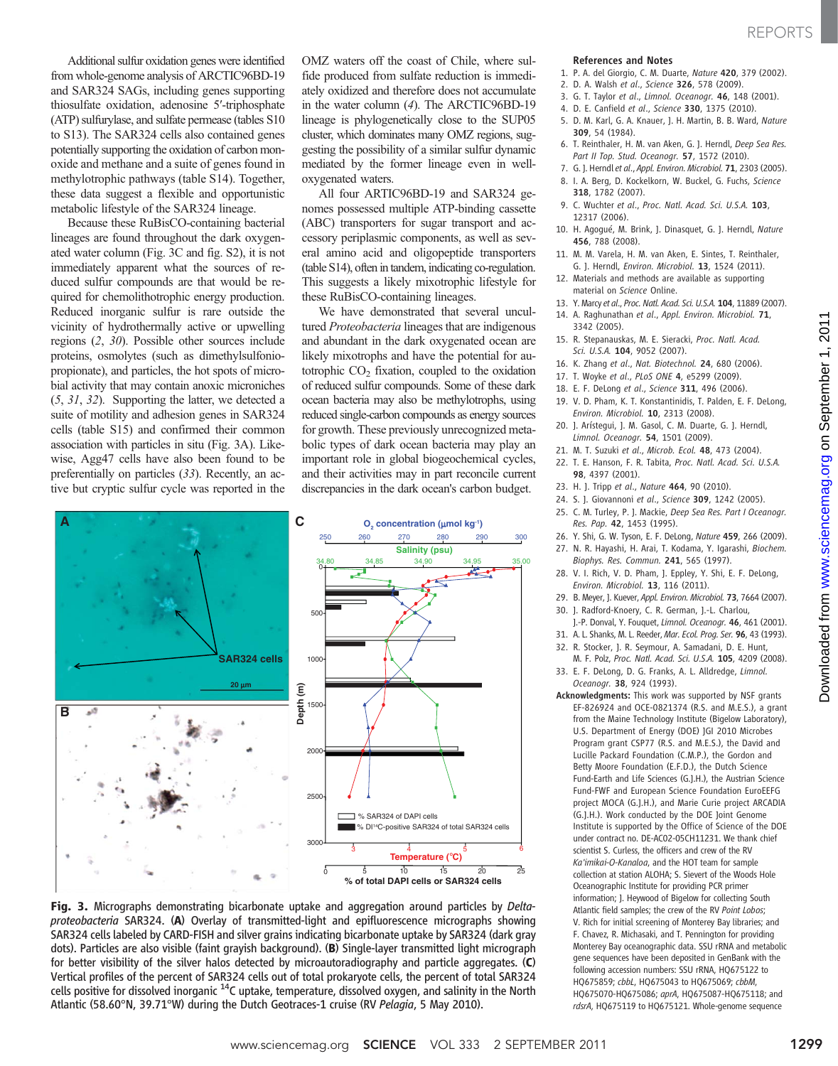on September 1, 2011

[www.sciencemag.org](http://www.sciencemag.org/)

Downloaded from www.sciencemag.org on September 1, 2011

Downloaded from

Additional sulfur oxidation genes were identified from whole-genome analysis of ARCTIC96BD-19 and SAR324 SAGs, including genes supporting thiosulfate oxidation, adenosine 5′-triphosphate (ATP) sulfurylase, and sulfate permease (tables S10 to S13). The SAR324 cells also contained genes potentially supporting the oxidation of carbon monoxide and methane and a suite of genes found in methylotrophic pathways (table S14). Together, these data suggest a flexible and opportunistic metabolic lifestyle of the SAR324 lineage.

Because these RuBisCO-containing bacterial lineages are found throughout the dark oxygenated water column (Fig. 3C and fig. S2), it is not immediately apparent what the sources of reduced sulfur compounds are that would be required for chemolithotrophic energy production. Reduced inorganic sulfur is rare outside the vicinity of hydrothermally active or upwelling regions (2, 30). Possible other sources include proteins, osmolytes (such as dimethylsulfoniopropionate), and particles, the hot spots of microbial activity that may contain anoxic microniches (5, 31, 32). Supporting the latter, we detected a suite of motility and adhesion genes in SAR324 cells (table S15) and confirmed their common association with particles in situ (Fig. 3A). Likewise, Agg47 cells have also been found to be preferentially on particles (33). Recently, an active but cryptic sulfur cycle was reported in the

OMZ waters off the coast of Chile, where sulfide produced from sulfate reduction is immediately oxidized and therefore does not accumulate in the water column (4). The ARCTIC96BD-19 lineage is phylogenetically close to the SUP05 cluster, which dominates many OMZ regions, suggesting the possibility of a similar sulfur dynamic mediated by the former lineage even in welloxygenated waters.

All four ARTIC96BD-19 and SAR324 genomes possessed multiple ATP-binding cassette (ABC) transporters for sugar transport and accessory periplasmic components, as well as several amino acid and oligopeptide transporters (table S14), often in tandem, indicating co-regulation. This suggests a likely mixotrophic lifestyle for these RuBisCO-containing lineages.

We have demonstrated that several uncultured Proteobacteria lineages that are indigenous and abundant in the dark oxygenated ocean are likely mixotrophs and have the potential for autotrophic  $CO<sub>2</sub>$  fixation, coupled to the oxidation of reduced sulfur compounds. Some of these dark ocean bacteria may also be methylotrophs, using reduced single-carbon compounds as energy sources for growth. These previously unrecognized metabolic types of dark ocean bacteria may play an important role in global biogeochemical cycles, and their activities may in part reconcile current discrepancies in the dark ocean's carbon budget.



Fig. 3. Micrographs demonstrating bicarbonate uptake and aggregation around particles by Deltaproteobacteria SAR324. (A) Overlay of transmitted-light and epifluorescence micrographs showing SAR324 cells labeled by CARD-FISH and silver grains indicating bicarbonate uptake by SAR324 (dark gray dots). Particles are also visible (faint grayish background). (B) Single-layer transmitted light micrograph for better visibility of the silver halos detected by microautoradiography and particle aggregates. (C) Vertical profiles of the percent of SAR324 cells out of total prokaryote cells, the percent of total SAR324 cells positive for dissolved inorganic <sup>14</sup>C uptake, temperature, dissolved oxygen, and salinity in the North Atlantic (58.60°N, 39.71°W) during the Dutch Geotraces-1 cruise (RV Pelagia, 5 May 2010).

#### References and Notes

- 1. P. A. del Giorgio, C. M. Duarte, Nature 420, 379 (2002).
- 2. D. A. Walsh et al., Science 326, 578 (2009).
- 3. G. T. Taylor et al., Limnol. Oceanogr. 46, 148 (2001).
- 4. D. E. Canfield et al., Science 330, 1375 (2010).
- 5. D. M. Karl, G. A. Knauer, J. H. Martin, B. B. Ward, Nature 309, 54 (1984).
- 6. T. Reinthaler, H. M. van Aken, G. J. Herndl, Deep Sea Res. Part II Top. Stud. Oceanogr. **57**, 1572 (2010).
- 7. G. J. Herndl et al., Appl. Environ. Microbiol. 71, 2303 (2005). 8. I. A. Berg, D. Kockelkorn, W. Buckel, G. Fuchs, Science
- 318, 1782 (2007). 9. C. Wuchter et al., Proc. Natl. Acad. Sci. U.S.A. 103,
- 12317 (2006).
- 10. H. Agogué, M. Brink, J. Dinasquet, G. J. Herndl, Nature 456, 788 (2008).
- 11. M. M. Varela, H. M. van Aken, E. Sintes, T. Reinthaler, G. J. Herndl, Environ. Microbiol. 13, 1524 (2011).
- 12. Materials and methods are available as supporting material on Science Online.
- 13. Y. Marcy et al., Proc. Natl. Acad. Sci. U.S.A. 104, 11889 (2007).
- 14. A. Raghunathan et al., Appl. Environ. Microbiol. 71, 3342 (2005).
- 15. R. Stepanauskas, M. E. Sieracki, Proc. Natl. Acad. Sci. U.S.A. 104, 9052 (2007).
- 16. K. Zhang et al., Nat. Biotechnol. 24, 680 (2006).
- 17. T. Woyke et al., PLoS ONE 4, e5299 (2009).
- 18. E. F. DeLong et al., Science 311, 496 (2006).
- 19. V. D. Pham, K. T. Konstantinidis, T. Palden, E. F. DeLong, Environ. Microbiol. 10, 2313 (2008).
- 20. J. Arístegui, J. M. Gasol, C. M. Duarte, G. J. Herndl, Limnol. Oceanogr. 54, 1501 (2009).
- 21. M. T. Suzuki et al., Microb. Ecol. 48, 473 (2004).
- 22. T. E. Hanson, F. R. Tabita, Proc. Natl. Acad. Sci. U.S.A. 98, 4397 (2001).
- 23. H. J. Tripp et al., Nature 464, 90 (2010).
- 24. S. J. Giovannoni et al., Science 309, 1242 (2005).
- 25. C. M. Turley, P. J. Mackie, Deep Sea Res. Part I Oceanogr. Res. Pap. 42, 1453 (1995).
- 26. Y. Shi, G. W. Tyson, E. F. DeLong, Nature 459, 266 (2009).
- 27. N. R. Hayashi, H. Arai, T. Kodama, Y. Igarashi, Biochem. Biophys. Res. Commun. 241, 565 (1997).
- 28. V. I. Rich, V. D. Pham, J. Eppley, Y. Shi, E. F. DeLong, Environ. Microbiol. 13, 116 (2011).
- 29. B. Meyer, J. Kuever, Appl. Environ. Microbiol. 73, 7664 (2007). 30. J. Radford-Knoery, C. R. German, J.-L. Charlou,
- J.-P. Donval, Y. Fouquet, Limnol. Oceanogr. 46, 461 (2001).
- 31. A. L. Shanks, M. L. Reeder, Mar. Ecol. Prog. Ser. 96, 43 (1993).
- 32. R. Stocker, J. R. Seymour, A. Samadani, D. E. Hunt,
- M. F. Polz, Proc. Natl. Acad. Sci. U.S.A. 105, 4209 (2008). 33. E. F. DeLong, D. G. Franks, A. L. Alldredge, Limnol.
- Oceanogr. 38, 924 (1993). Acknowledgments: This work was supported by NSF grants EF-826924 and OCE-0821374 (R.S. and M.E.S.), a grant from the Maine Technology Institute (Bigelow Laboratory), U.S. Department of Energy (DOE) JGI 2010 Microbes Program grant CSP77 (R.S. and M.E.S.), the David and Lucille Packard Foundation (C.M.P.), the Gordon and Betty Moore Foundation (E.F.D.), the Dutch Science Fund-Earth and Life Sciences (G.J.H.), the Austrian Science Fund-FWF and European Science Foundation EuroEEFG project MOCA (G.J.H.), and Marie Curie project ARCADIA (G.J.H.). Work conducted by the DOE Joint Genome Institute is supported by the Office of Science of the DOE under contract no. DE-AC02-05CH11231. We thank chief scientist S. Curless, the officers and crew of the RV Ka'imikai-O-Kanaloa, and the HOT team for sample collection at station ALOHA; S. Sievert of the Woods Hole Oceanographic Institute for providing PCR primer information; J. Heywood of Bigelow for collecting South Atlantic field samples: the crew of the RV Point Lobos: V. Rich for initial screening of Monterey Bay libraries; and F. Chavez, R. Michasaki, and T. Pennington for providing Monterey Bay oceanographic data. SSU rRNA and metabolic gene sequences have been deposited in GenBank with the following accession numbers: SSU rRNA, HQ675122 to HQ675859; cbbL, HQ675043 to HQ675069; cbbM, HQ675070-HQ675086; aprA, HQ675087-HQ675118; and rdsrA, HQ675119 to HQ675121. Whole-genome sequence